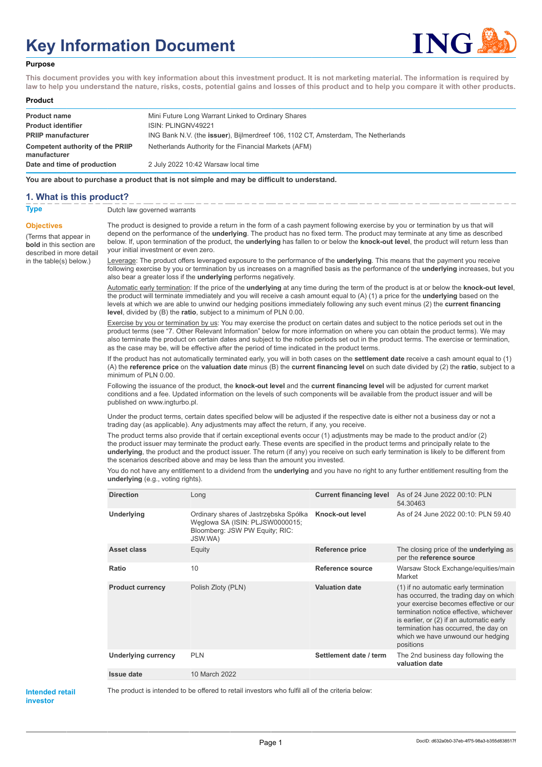# **Key Information Document**



#### **Purpose**

**This document provides you with key information about this investment product. It is not marketing material. The information is required by law to help you understand the nature, risks, costs, potential gains and losses of this product and to help you compare it with other products.**

#### **Product**

| <b>Product name</b>                              | Mini Future Long Warrant Linked to Ordinary Shares                                |
|--------------------------------------------------|-----------------------------------------------------------------------------------|
| <b>Product identifier</b>                        | ISIN: PLINGNV49221                                                                |
| <b>PRIIP manufacturer</b>                        | ING Bank N.V. (the issuer), Bijlmerdreef 106, 1102 CT, Amsterdam, The Netherlands |
| Competent authority of the PRIIP<br>manufacturer | Netherlands Authority for the Financial Markets (AFM)                             |
| Date and time of production                      | 2 July 2022 10:42 Warsaw local time                                               |

**You are about to purchase a product that is not simple and may be difficult to understand.**

#### **1. What is this product?**

**Objectives**

(Terms that appear in **bold** in this section are

in the table(s) below.)

**Type** Dutch law governed warrants

described in more detail The product is designed to provide a return in the form of a cash payment following exercise by you or termination by us that will depend on the performance of the **underlying**. The product has no fixed term. The product may terminate at any time as described below. If, upon termination of the product, the **underlying** has fallen to or below the **knock-out level**, the product will return less than your initial investment or even zero.

> Leverage: The product offers leveraged exposure to the performance of the **underlying**. This means that the payment you receive following exercise by you or termination by us increases on a magnified basis as the performance of the **underlying** increases, but you also bear a greater loss if the **underlying** performs negatively.

> Automatic early termination: If the price of the **underlying** at any time during the term of the product is at or below the **knock-out level**, the product will terminate immediately and you will receive a cash amount equal to (A) (1) a price for the **underlying** based on the levels at which we are able to unwind our hedging positions immediately following any such event minus (2) the **current financing level**, divided by (B) the **ratio**, subject to a minimum of PLN 0.00.

Exercise by you or termination by us: You may exercise the product on certain dates and subject to the notice periods set out in the product terms (see "7. Other Relevant Information" below for more information on where you can obtain the product terms). We may also terminate the product on certain dates and subject to the notice periods set out in the product terms. The exercise or termination, as the case may be, will be effective after the period of time indicated in the product terms.

If the product has not automatically terminated early, you will in both cases on the **settlement date** receive a cash amount equal to (1) (A) the **reference price** on the **valuation date** minus (B) the **current financing level** on such date divided by (2) the **ratio**, subject to a minimum of PLN 0.00.

Following the issuance of the product, the **knock-out level** and the **current financing level** will be adjusted for current market conditions and a fee. Updated information on the levels of such components will be available from the product issuer and will be published on www.ingturbo.pl.

Under the product terms, certain dates specified below will be adjusted if the respective date is either not a business day or not a trading day (as applicable). Any adjustments may affect the return, if any, you receive.

The product terms also provide that if certain exceptional events occur (1) adjustments may be made to the product and/or (2) the product issuer may terminate the product early. These events are specified in the product terms and principally relate to the **underlying**, the product and the product issuer. The return (if any) you receive on such early termination is likely to be different from the scenarios described above and may be less than the amount you invested.

You do not have any entitlement to a dividend from the **underlying** and you have no right to any further entitlement resulting from the **underlying** (e.g., voting rights).

| <b>Direction</b>           | Long                                                                                                                  | <b>Current financing level</b> | As of 24 June 2022 00:10: PLN<br>54.30463                                                                                                                                                                                                                                                                  |
|----------------------------|-----------------------------------------------------------------------------------------------------------------------|--------------------------------|------------------------------------------------------------------------------------------------------------------------------------------------------------------------------------------------------------------------------------------------------------------------------------------------------------|
| Underlying                 | Ordinary shares of Jastrzębska Spółka<br>Weglowa SA (ISIN: PLJSW0000015;<br>Bloomberg: JSW PW Equity; RIC:<br>JSW.WA) | Knock-out level                | As of 24 June 2022 00:10: PLN 59.40                                                                                                                                                                                                                                                                        |
| <b>Asset class</b>         | Equity                                                                                                                | <b>Reference price</b>         | The closing price of the <b>underlying</b> as<br>per the reference source                                                                                                                                                                                                                                  |
| Ratio                      | 10                                                                                                                    | Reference source               | Warsaw Stock Exchange/equities/main<br>Market                                                                                                                                                                                                                                                              |
| <b>Product currency</b>    | Polish Zloty (PLN)                                                                                                    | <b>Valuation date</b>          | (1) if no automatic early termination<br>has occurred, the trading day on which<br>your exercise becomes effective or our<br>termination notice effective, whichever<br>is earlier, or (2) if an automatic early<br>termination has occurred, the day on<br>which we have unwound our hedging<br>positions |
| <b>Underlying currency</b> | <b>PLN</b>                                                                                                            | Settlement date / term         | The 2nd business day following the<br>valuation date                                                                                                                                                                                                                                                       |
| Issue date                 | 10 March 2022                                                                                                         |                                |                                                                                                                                                                                                                                                                                                            |

**Intended retail investor**

The product is intended to be offered to retail investors who fulfil all of the criteria below: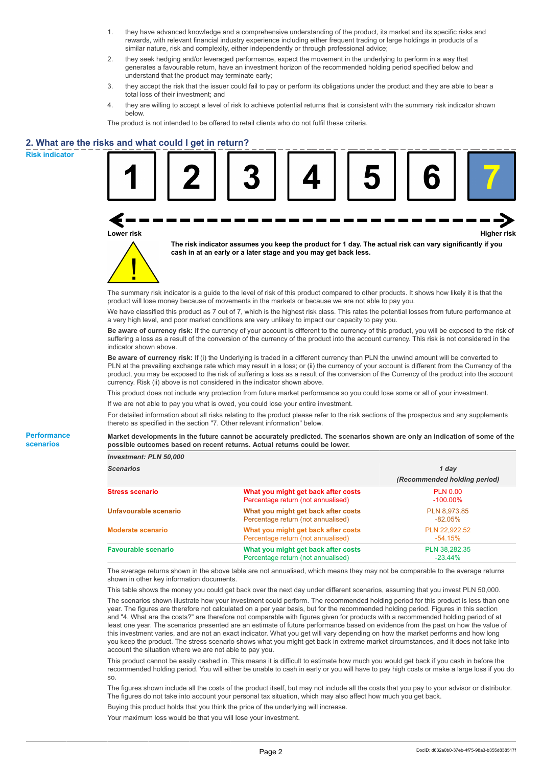- 1. they have advanced knowledge and a comprehensive understanding of the product, its market and its specific risks and rewards, with relevant financial industry experience including either frequent trading or large holdings in products of a similar nature, risk and complexity, either independently or through professional advice;
- 2. they seek hedging and/or leveraged performance, expect the movement in the underlying to perform in a way that generates a favourable return, have an investment horizon of the recommended holding period specified below and understand that the product may terminate early;
- 3. they accept the risk that the issuer could fail to pay or perform its obligations under the product and they are able to bear a total loss of their investment; and
- 4. they are willing to accept a level of risk to achieve potential returns that is consistent with the summary risk indicator shown below.

The product is not intended to be offered to retail clients who do not fulfil these criteria.

# **2. What are the risks and what could I get in return?**

**Risk indicator**

**Performance scenarios**

| เs and what could I get in return?                                                                                                                                                                                                                                                                                                                                                                                                                                                                         |  |                                                                                                                                                                             |  |                              |                    |
|------------------------------------------------------------------------------------------------------------------------------------------------------------------------------------------------------------------------------------------------------------------------------------------------------------------------------------------------------------------------------------------------------------------------------------------------------------------------------------------------------------|--|-----------------------------------------------------------------------------------------------------------------------------------------------------------------------------|--|------------------------------|--------------------|
| Lower risk                                                                                                                                                                                                                                                                                                                                                                                                                                                                                                 |  |                                                                                                                                                                             |  |                              | <b>Higher risk</b> |
|                                                                                                                                                                                                                                                                                                                                                                                                                                                                                                            |  | The risk indicator assumes you keep the product for 1 day. The actual risk can vary significantly if you<br>cash in at an early or a later stage and you may get back less. |  |                              |                    |
| The summary risk indicator is a quide to the level of risk of this product compared to other products. It shows how likely it is that the<br>product will lose money because of movements in the markets or because we are not able to pay you.                                                                                                                                                                                                                                                            |  |                                                                                                                                                                             |  |                              |                    |
| We have classified this product as 7 out of 7, which is the highest risk class. This rates the potential losses from future performance at<br>a very high level, and poor market conditions are very unlikely to impact our capacity to pay you.                                                                                                                                                                                                                                                           |  |                                                                                                                                                                             |  |                              |                    |
| Be aware of currency risk: If the currency of your account is different to the currency of this product, you will be exposed to the risk of<br>suffering a loss as a result of the conversion of the currency of the product into the account currency. This risk is not considered in the<br>indicator shown above.                                                                                                                                                                                       |  |                                                                                                                                                                             |  |                              |                    |
| Be aware of currency risk: If (i) the Underlying is traded in a different currency than PLN the unwind amount will be converted to<br>PLN at the prevailing exchange rate which may result in a loss; or (ii) the currency of your account is different from the Currency of the<br>product, you may be exposed to the risk of suffering a loss as a result of the conversion of the Currency of the product into the account<br>currency. Risk (ii) above is not considered in the indicator shown above. |  |                                                                                                                                                                             |  |                              |                    |
| This product does not include any protection from future market performance so you could lose some or all of your investment.                                                                                                                                                                                                                                                                                                                                                                              |  |                                                                                                                                                                             |  |                              |                    |
| If we are not able to pay you what is owed, you could lose your entire investment.                                                                                                                                                                                                                                                                                                                                                                                                                         |  |                                                                                                                                                                             |  |                              |                    |
| For detailed information about all risks relating to the product please refer to the risk sections of the prospectus and any supplements<br>thereto as specified in the section "7. Other relevant information" below.                                                                                                                                                                                                                                                                                     |  |                                                                                                                                                                             |  |                              |                    |
| Market developments in the future cannot be accurately predicted. The scenarios shown are only an indication of some of the<br>possible outcomes based on recent returns. Actual returns could be lower.                                                                                                                                                                                                                                                                                                   |  |                                                                                                                                                                             |  |                              |                    |
| Investment: PLN 50,000                                                                                                                                                                                                                                                                                                                                                                                                                                                                                     |  |                                                                                                                                                                             |  |                              |                    |
| <b>Scenarios</b>                                                                                                                                                                                                                                                                                                                                                                                                                                                                                           |  |                                                                                                                                                                             |  | 1 day                        |                    |
|                                                                                                                                                                                                                                                                                                                                                                                                                                                                                                            |  |                                                                                                                                                                             |  | (Recommended holding period) |                    |
| <b>Stress scenario</b>                                                                                                                                                                                                                                                                                                                                                                                                                                                                                     |  | What you might get back after costs                                                                                                                                         |  | <b>PLN 0.00</b>              |                    |

| <b>Stress scenario</b>     | What you might get back after costs<br>Percentage return (not annualised) | <b>PLN 0.00</b><br>$-100.00\%$ |
|----------------------------|---------------------------------------------------------------------------|--------------------------------|
| Unfavourable scenario      | What you might get back after costs<br>Percentage return (not annualised) | PLN 8,973.85<br>$-82.05\%$     |
| <b>Moderate scenario</b>   | What you might get back after costs<br>Percentage return (not annualised) | PLN 22.922.52<br>$-54.15%$     |
| <b>Favourable scenario</b> | What you might get back after costs<br>Percentage return (not annualised) | PLN 38,282.35<br>$-23.44\%$    |
|                            |                                                                           |                                |

The average returns shown in the above table are not annualised, which means they may not be comparable to the average returns shown in other key information documents.

This table shows the money you could get back over the next day under different scenarios, assuming that you invest PLN 50,000.

The scenarios shown illustrate how your investment could perform. The recommended holding period for this product is less than one year. The figures are therefore not calculated on a per year basis, but for the recommended holding period. Figures in this section and "4. What are the costs?" are therefore not comparable with figures given for products with a recommended holding period of at least one year. The scenarios presented are an estimate of future performance based on evidence from the past on how the value of this investment varies, and are not an exact indicator. What you get will vary depending on how the market performs and how long you keep the product. The stress scenario shows what you might get back in extreme market circumstances, and it does not take into account the situation where we are not able to pay you.

This product cannot be easily cashed in. This means it is difficult to estimate how much you would get back if you cash in before the recommended holding period. You will either be unable to cash in early or you will have to pay high costs or make a large loss if you do so.

The figures shown include all the costs of the product itself, but may not include all the costs that you pay to your advisor or distributor. The figures do not take into account your personal tax situation, which may also affect how much you get back.

Buying this product holds that you think the price of the underlying will increase.

Your maximum loss would be that you will lose your investment.